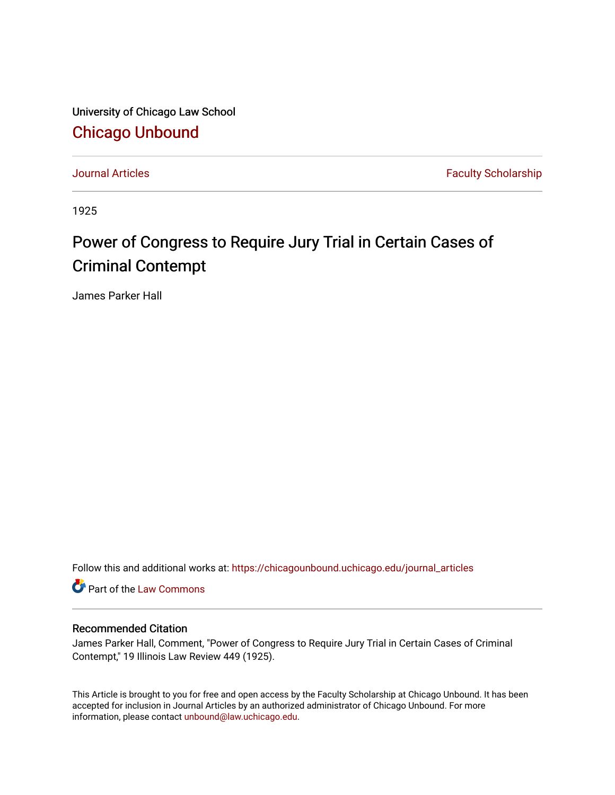University of Chicago Law School [Chicago Unbound](https://chicagounbound.uchicago.edu/)

[Journal Articles](https://chicagounbound.uchicago.edu/journal_articles) **Faculty Scholarship Faculty Scholarship** 

1925

## Power of Congress to Require Jury Trial in Certain Cases of Criminal Contempt

James Parker Hall

Follow this and additional works at: [https://chicagounbound.uchicago.edu/journal\\_articles](https://chicagounbound.uchicago.edu/journal_articles?utm_source=chicagounbound.uchicago.edu%2Fjournal_articles%2F9298&utm_medium=PDF&utm_campaign=PDFCoverPages) 

Part of the [Law Commons](http://network.bepress.com/hgg/discipline/578?utm_source=chicagounbound.uchicago.edu%2Fjournal_articles%2F9298&utm_medium=PDF&utm_campaign=PDFCoverPages)

## Recommended Citation

James Parker Hall, Comment, "Power of Congress to Require Jury Trial in Certain Cases of Criminal Contempt," 19 Illinois Law Review 449 (1925).

This Article is brought to you for free and open access by the Faculty Scholarship at Chicago Unbound. It has been accepted for inclusion in Journal Articles by an authorized administrator of Chicago Unbound. For more information, please contact [unbound@law.uchicago.edu](mailto:unbound@law.uchicago.edu).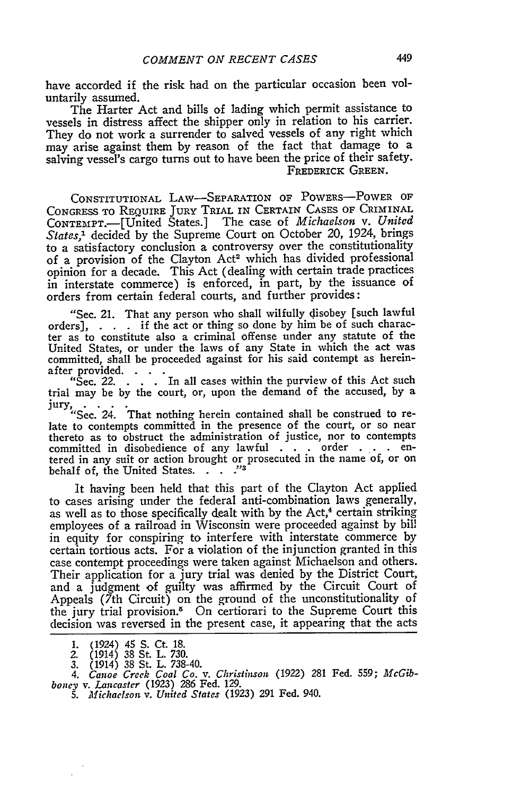have accorded if the risk had on the particular occasion been voluntarily assumed.

The Harter Act and bills of lading which permit assistance to vessels in distress affect the shipper only in relation to his carrier. They do not work a surrender to salved vessels of any right which may arise against them by reason of the fact that damage to a salving vessel's cargo turns out to have been the price of their safety. FREDERICK **GREEN.**

CONSTITUTIONAL LAW-SEPARATION OF POWERS-POWER OF CONGRESS TO REQUIRE JURY TRIAL IN CERTAIN CASES OF CRIMINAL CONTEMPT.-[United States.] The case of *Michaelson v. United States,'* decided by the Supreme Court on October 20, 1924, brings to a satisfactory conclusion a controversy over the constitutionality of a provision of the Clayton Act<sup>2</sup> which has divided professional opinion for a decade. This Act (dealing with certain trade practices in interstate commerce) is enforced, in part, by the issuance of orders from certain federal courts, and further provides:

"Sec. 21. That any person who shall wilfully disobey [such lawful orders], **.** . . if the act or thing so done by him be of such character as to constitute also a criminal offense under any statute of the United States, or under the laws of any State in which the act was committed, shall be proceeded against for his said contempt as hereinafter provided.

"Sec. **22.** . . . In all cases within the purview of this Act such trial may be by the court, or, upon the demand of the accused, by a jury, ......<br>"Sec. 24. That nothing herein contained shall be construed to re-

late to contempts committed in the presence of the court, or so near thereto as to obstruct the administration of justice, nor to contempts committed in disobedience of any lawful . . . order **. .** . entered in any suit or action brought or prosecuted in the name of, or on behalf of, the United States. **. .**

It having been held that this part of the Clayton Act applied to cases arising under the federal anti-combination laws generally, as well as to those specifically dealt with by the Act,<sup>4</sup> certain striking employees of a railroad in Wisconsin were proceeded against by bill in equity for conspiring to interfere with interstate commerce by certain tortious acts. For a violation of the injunction granted in this case contempt proceedings were taken against Michaelson and others. Their application for a jury trial was denied by the District Court, and a judgment of guilty was affirmed by the Circuit Court of Appeals (7th Circuit) on the ground of the unconstitutionality of the jury trial provision.5 On certiorari to the Supreme Court this decision was reversed in the present case, it appearing that the acts

<sup>1. (1924) 45</sup> **S.** Ct. 18. 2. (1914) 38 St. L. 730.

<sup>3. (1914) 38</sup> St. L. 738-40.

*<sup>4.</sup> Canoe Creek Coal Co. v. Christinon* (1922) **281** Fed. 559; *McGib-boney v. Lancaster* (1923) 286 Fed. 129.

*<sup>5.</sup> Michaelson v. United States* (1923) **291** Fed. 940.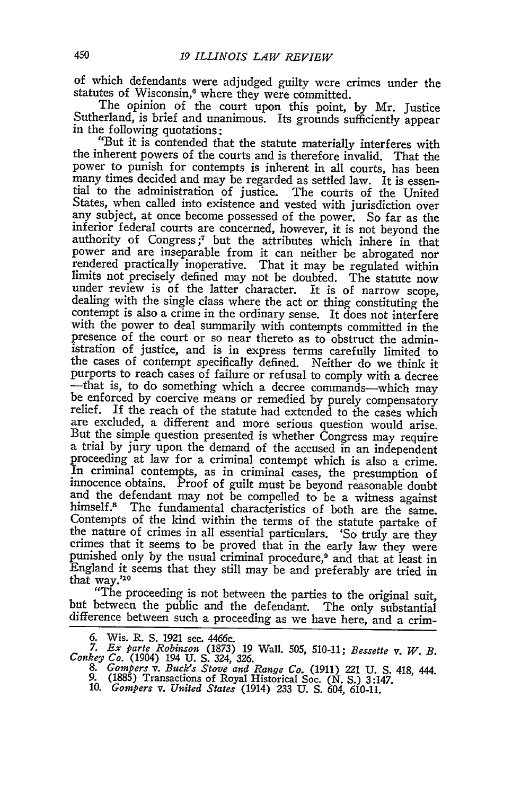of which defendants were adjudged guilty were crimes under the statutes of Wisconsin,<sup>6</sup> where they were committed.<br>The opinion of the court upon this point, by Mr. Justice

Sutherland, is brief and unanimous. Its grounds sufficiently appear<br>in the following quotations:<br>"But it is contended that the statute materially interferes with<br>the inherent powers of the courts and is therefore invalid.

power to punish for contempts is inherent in all courts, has been many times decided and may be regarded as settled law. It is essential to the administration of justice. The courts of the United States, when called into existence and vested with jurisdiction over any subject, at once become possessed of the power. So far as the inferior federal courts are concerned, however, it is not beyond the authority of Congress **;7** but the attributes which inhere in that rendered practically inoperative. That it may be regulated within limits not precisely defined may not be doubted. The statute now under review is of the latter character. It is of narrow scope, dealing with the single class where the act or thing constituting the contempt is also a crime in the ordinary sense. It does not interfere with the power to deal summarily with contempts committed in the presence of the court or so near thereto as to obstruct the administration of justice, and is in express terms carefully limited to the cases of contempt specifically defined. Neither do we think it —that is, to do something which a decree commands—which may<br>be enforced by coercive means or remedied by purely compensatory<br>relief. If the reach of the statute had extended to the cases which are excluded, a different and more serious question would arise. But the simple question presented is whether Congress may require a trial by jury upon the demand of the accused in an independent proceeding at law for a criminal contempt which is also a crime. In criminal contempts, as in criminal cases, the presumption of innocence obtains. Proof of guilt must be beyond reasonable doubt and the defendant may not be compelled to be a witness against himself.<sup>8</sup> The fundamental characteristics of both are the same. Contempts of the kind within the terms of the statute partake of the nature of crimes in all essential particulars. 'So truly are they crimes that it seems to be proved that in the early law they were punished only by the usual criminal procedure,<sup>9</sup> and that at least in England it seem that way. $710$ 

"The proceeding is not between the parties to the original suit, but between the public and the defendant. The only substantial difference between such a proceeding as we have here, and a crim-

- 
- 

*<sup>6.</sup>* Wis. R. **S.** 1921 sec. *4466c.*

<sup>7.</sup> Ex parte Robinson (1873) 19 Wall. 505, 510-11; Bessette v. W. B.<br>Conkey Co. (1904) 194 U. S. 324, 326.<br>8. Gompers v. Buck's Stove and Range Co. (1911) 221 U. S. 418, 444.<br>9. (1885) Transactions of Royal Historical Soc.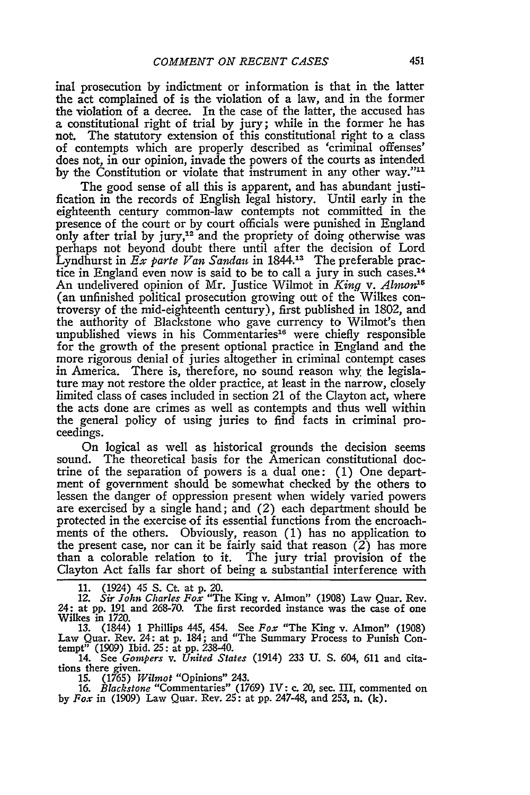inal prosecution by indictment or information is that in the latter the act complained of is the violation of a law, and in the former the violation of a decree. In the case of the latter, the accused has a constitutional right of trial by jury; while in the former he has not. The statutory extension of this constitutional right to a class of contempts which are properly described as 'criminal offenses' does not, in our opinion, invade the powers of the courts as intended by the Constitution or violate that instrument in any other way."'<sup>1</sup>

The good sense of all this is apparent, and has abundant justification in the records of English legal history. Until early in the eighteenth century common-law contempts not committed in the presence of the court or by court officials were punished in England only after trial by jury,<sup>12</sup> and the propriety of doing otherwise was perhaps not beyond doubt there until after the decision of Lord Lyndhurst in *Ex parte Van Sandau* in 1844.13 The preferable practice in England even now is said to be to call a jury in such cases.14 An undelivered opinion of Mr. Justice Wilmot in *King v. Almon*<sup>15</sup> (an unfinished political prosecution growing out of the Wilkes controversy of the mid-eighteenth century), first published in 1802, and the authority of Blackstone who gave currency to Wilmot's then unpublished views in his Commentaries<sup>16</sup> were chiefly responsible for the growth of the present optional practice in England and the more rigorous denial of juries altogether in criminal contempt cases in America. There is, therefore, no sound reason why the legislature may not restore the older practice, at least in the narrow, closely limited class of cases included in section 21 of the Clayton act, where the acts done are crimes as well as contempts and thus well within the general policy of using juries to find facts in criminal proceedings.

On logical as well as historical grounds the decision seems sound. The theoretical basis for the American constitutional doctrine of the separation of powers is a dual one: (1) One department of government should be somewhat checked by the others to lessen the danger of oppression present when widely varied powers are exercised by a single hand; and (2) each department should be protected in the exercise of its essential functions from the encroachments of the others. Obviously, reason (1) has no application to the present case, nor can it be fairly said that reason *(2)* has more than a colorable relation to it. The jury trial provision of the Clayton Act falls far short of being a substantial interference with

11. (1924) 45 **S.** Ct. at **p.** 20. *12. Sir John Charles Fox* "The King v. Almon" (1908) Law Quar. Rev. 24: at pp. 191 and 268-70. The first recorded instance was the case of one Wilkes in 1720.

13. (1844) 1 Phillips 445, 454. See *Fox* "The King v. Almon" (1908) Law Quar. Rev. 24: at p. 184; and "The Summary Process to Punish Contempt" (1909) Ibid. 25: at pp. 238-40.

14. See *Gompers v. United States* (1914) 233 U. **S.** 604, 611 and citations there given. 15. (1765) *Wilmot* "Opinions" 243.

16. *Blackstone* "Commentaries" (1769) IV: c. 20, sec. III, commented on by *Fox* in (1909) Law Quar. Rev. 25: at pp. 247-48, and 253, n. (k).